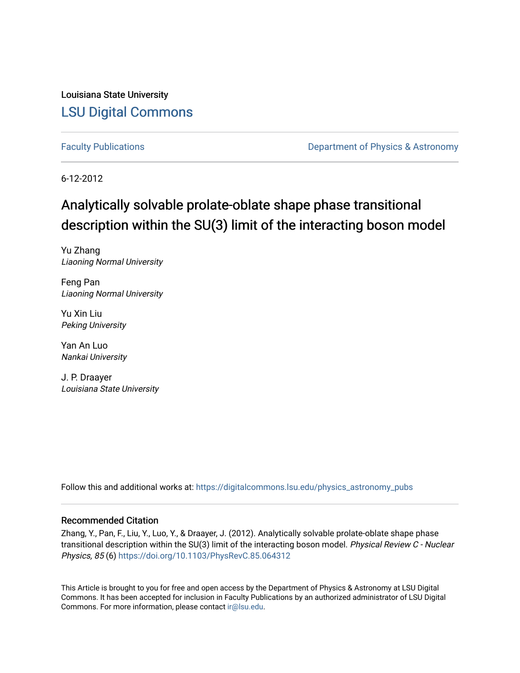Louisiana State University [LSU Digital Commons](https://digitalcommons.lsu.edu/)

[Faculty Publications](https://digitalcommons.lsu.edu/physics_astronomy_pubs) **Exercise 2 and Table 2 and Table 2 and Table 2 and Table 2 and Table 2 and Table 2 and Table 2 and Table 2 and Table 2 and Table 2 and Table 2 and Table 2 and Table 2 and Table 2 and Table 2 and Table** 

6-12-2012

## Analytically solvable prolate-oblate shape phase transitional description within the SU(3) limit of the interacting boson model

Yu Zhang Liaoning Normal University

Feng Pan Liaoning Normal University

Yu Xin Liu Peking University

Yan An Luo Nankai University

J. P. Draayer Louisiana State University

Follow this and additional works at: [https://digitalcommons.lsu.edu/physics\\_astronomy\\_pubs](https://digitalcommons.lsu.edu/physics_astronomy_pubs?utm_source=digitalcommons.lsu.edu%2Fphysics_astronomy_pubs%2F1743&utm_medium=PDF&utm_campaign=PDFCoverPages) 

#### Recommended Citation

Zhang, Y., Pan, F., Liu, Y., Luo, Y., & Draayer, J. (2012). Analytically solvable prolate-oblate shape phase transitional description within the SU(3) limit of the interacting boson model. Physical Review C - Nuclear Physics, 85 (6) <https://doi.org/10.1103/PhysRevC.85.064312>

This Article is brought to you for free and open access by the Department of Physics & Astronomy at LSU Digital Commons. It has been accepted for inclusion in Faculty Publications by an authorized administrator of LSU Digital Commons. For more information, please contact [ir@lsu.edu](mailto:ir@lsu.edu).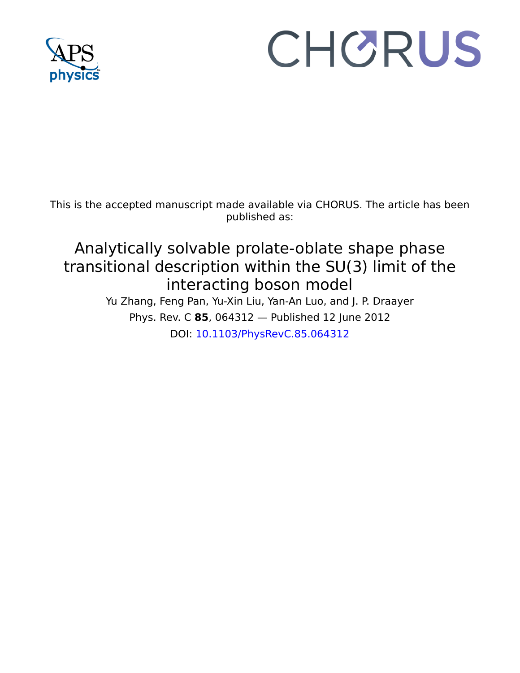

# CHORUS

This is the accepted manuscript made available via CHORUS. The article has been published as:

# Analytically solvable prolate-oblate shape phase transitional description within the SU(3) limit of the interacting boson model

Yu Zhang, Feng Pan, Yu-Xin Liu, Yan-An Luo, and J. P. Draayer Phys. Rev. C **85**, 064312 — Published 12 June 2012 DOI: [10.1103/PhysRevC.85.064312](http://dx.doi.org/10.1103/PhysRevC.85.064312)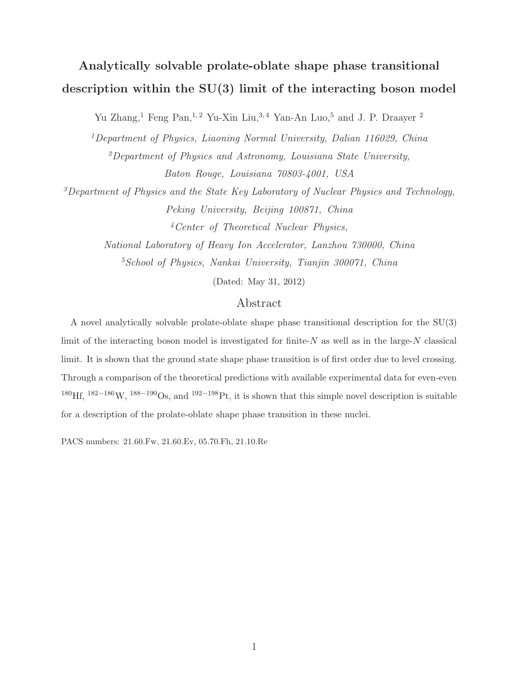## Analytically solvable prolate-oblate shape phase transitional description within the SU(3) limit of the interacting boson model

Yu Zhang,<sup>1</sup> Feng Pan,<sup>1,2</sup> Yu-Xin Liu,<sup>3,4</sup> Yan-An Luo,<sup>5</sup> and J. P. Draayer<sup>2</sup>

<sup>1</sup>Department of Physics, Liaoning Normal University, Dalian 116029, China  $^{2}$ Department of Physics and Astronomy, Louisiana State University, Baton Rouge, Louisiana 70803-4001, USA

 $3$ Department of Physics and the State Key Laboratory of Nuclear Physics and Technology, Peking University, Beijing 100871, China <sup>4</sup>Center of Theoretical Nuclear Physics,

> National Laboratory of Heavy Ion Accelerator, Lanzhou 730000, China  ${}^{5}S$ chool of Physics, Nankai University, Tianjin 300071, China

> > (Dated: May 31, 2012)

#### Abstract

Peking University, Beijing 100871, Chin<br>
4 Center of Theoretical Nuclear Physics<br>
ational Laboratory of Heavy Ion Accelerator, Lanzhot<br>
<sup>5</sup> School of Physics, Nankai University, Tianjin 30<br>
(Dated: May 31, 2012)<br>
Abstract But the State Hey Louisiana 70808-4001, USA<br>
Martment of Physics and the State Key Laboratory of Nuclear Physics and Technology,<br>
Peking University, Beijing 100871, China<br>
4 Center of Theoretical Nuclear Physics,<br>
Nationa A novel analytically solvable prolate-oblate shape phase transitional description for the SU(3) limit of the interacting boson model is investigated for finite- $N$  as well as in the large- $N$  classical limit. It is shown that the ground state shape phase transition is of first order due to level crossing. Through a comparison of the theoretical predictions with available experimental data for even-even <sup>180</sup>Hf, <sup>182</sup>−186W, <sup>188</sup>−190Os, and <sup>192</sup>−198Pt, it is shown that this simple novel description is suitable for a description of the prolate-oblate shape phase transition in these nuclei.

PACS numbers: 21.60.Fw, 21.60.Ev, 05.70.Fh, 21.10.Re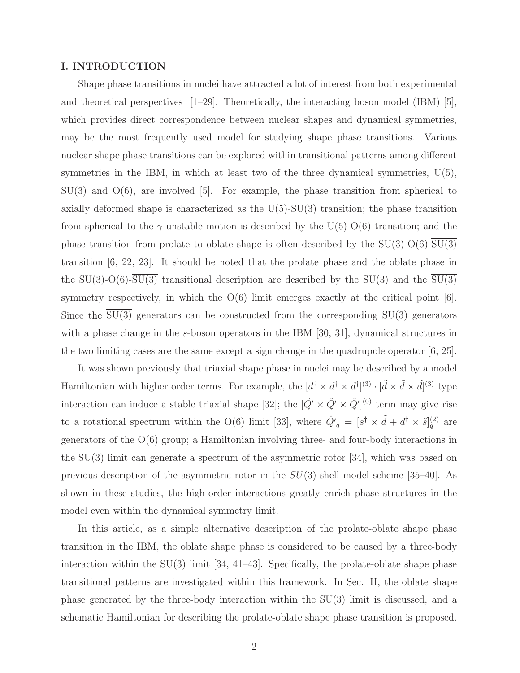#### I. INTRODUCTION

Shape phase transitions in nuclei have attracted a lot of interest from both experimental and theoretical perspectives  $[1-29]$ . Theoretically, the interacting boson model (IBM) [5], which provides direct correspondence between nuclear shapes and dynamical symmetries, may be the most frequently used model for studying shape phase transitions. Various nuclear shape phase transitions can be explored within transitional patterns among different symmetries in the IBM, in which at least two of the three dynamical symmetries,  $U(5)$ ,  $SU(3)$  and  $O(6)$ , are involved [5]. For example, the phase transition from spherical to axially deformed shape is characterized as the  $U(5)$ -SU $(3)$  transition; the phase transition from spherical to the  $\gamma$ -unstable motion is described by the U(5)-O(6) transition; and the phase transition from prolate to oblate shape is often described by the  $SU(3)$ -O(6)-SU(3) transition [6, 22, 23]. It should be noted that the prolate phase and the oblate phase in the SU(3)-O(6)- $\overline{SU(3)}$  transitional description are described by the SU(3) and the  $\overline{SU(3)}$ symmetry respectively, in which the  $O(6)$  limit emerges exactly at the critical point [6]. Since the  $\overline{SU(3)}$  generators can be constructed from the corresponding  $SU(3)$  generators with a phase change in the s-boson operators in the IBM [30, 31], dynamical structures in the two limiting cases are the same except a sign change in the quadrupole operator [6, 25].

It was shown previously that triaxial shape phase in nuclei may be described by a model Hamiltonian with higher order terms. For example, the  $[d^{\dagger} \times d^{\dagger} \times d^{\dagger}]^{(3)} \cdot [\tilde{d} \times \tilde{d} \times \tilde{d}]^{(3)}$  type interaction can induce a stable triaxial shape [32]; the  $[\hat{Q'} \times \hat{Q'} \times \hat{Q'}]^{(0)}$  term may give rise to a rotational spectrum within the O(6) limit [33], where  $\hat{Q'}_q = [s^{\dagger} \times \tilde{d} + d^{\dagger} \times \tilde{s}]_q^{(2)}$  are generators of the O(6) group; a Hamiltonian involving three- and four-body interactions in the SU(3) limit can generate a spectrum of the asymmetric rotor [34], which was based on previous description of the asymmetric rotor in the  $SU(3)$  shell model scheme [35–40]. As shown in these studies, the high-order interactions greatly enrich phase structures in the model even within the dynamical symmetry limit.

In this article, as a simple alternative description of the prolate-oblate shape phase transition in the IBM, the oblate shape phase is considered to be caused by a three-body interaction within the  $SU(3)$  limit [34, 41–43]. Specifically, the prolate-oblate shape phase transitional patterns are investigated within this framework. In Sec. II, the oblate shape phase generated by the three-body interaction within the SU(3) limit is discussed, and a schematic Hamiltonian for describing the prolate-oblate shape phase transition is proposed.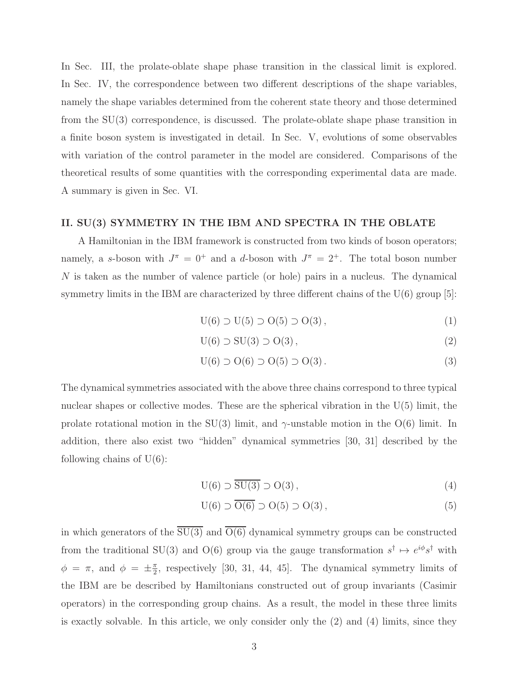In Sec. III, the prolate-oblate shape phase transition in the classical limit is explored. In Sec. IV, the correspondence between two different descriptions of the shape variables, namely the shape variables determined from the coherent state theory and those determined from the SU(3) correspondence, is discussed. The prolate-oblate shape phase transition in a finite boson system is investigated in detail. In Sec. V, evolutions of some observables with variation of the control parameter in the model are considered. Comparisons of the theoretical results of some quantities with the corresponding experimental data are made. A summary is given in Sec. VI.

#### II. SU(3) SYMMETRY IN THE IBM AND SPECTRA IN THE OBLATE

A Hamiltonian in the IBM framework is constructed from two kinds of boson operators; namely, a s-boson with  $J^{\pi} = 0^+$  and a d-boson with  $J^{\pi} = 2^+$ . The total boson number N is taken as the number of valence particle (or hole) pairs in a nucleus. The dynamical symmetry limits in the IBM are characterized by three different chains of the  $U(6)$  group [5]:

$$
U(6) \supset U(5) \supset O(5) \supset O(3), \tag{1}
$$

$$
U(6) \supset SU(3) \supset O(3), \tag{2}
$$

$$
U(6) \supset O(6) \supset O(5) \supset O(3). \tag{3}
$$

The dynamical symmetries associated with the above three chains correspond to three typical nuclear shapes or collective modes. These are the spherical vibration in the  $U(5)$  limit, the prolate rotational motion in the SU(3) limit, and  $\gamma$ -unstable motion in the O(6) limit. In addition, there also exist two "hidden" dynamical symmetries [30, 31] described by the following chains of  $U(6)$ :

$$
U(6) \supset \overline{SU(3)} \supset O(3),\tag{4}
$$

$$
U(6) \supset \overline{O(6)} \supset O(5) \supset O(3), \tag{5}
$$

in which generators of the  $\overline{SU(3)}$  and  $\overline{O(6)}$  dynamical symmetry groups can be constructed from the traditional SU(3) and O(6) group via the gauge transformation  $s^{\dagger} \mapsto e^{i\phi} s^{\dagger}$  with  $\phi = \pi$ , and  $\phi = \pm \frac{\pi}{2}$  $\frac{\pi}{2}$ , respectively [30, 31, 44, 45]. The dynamical symmetry limits of the IBM are be described by Hamiltonians constructed out of group invariants (Casimir operators) in the corresponding group chains. As a result, the model in these three limits is exactly solvable. In this article, we only consider only the (2) and (4) limits, since they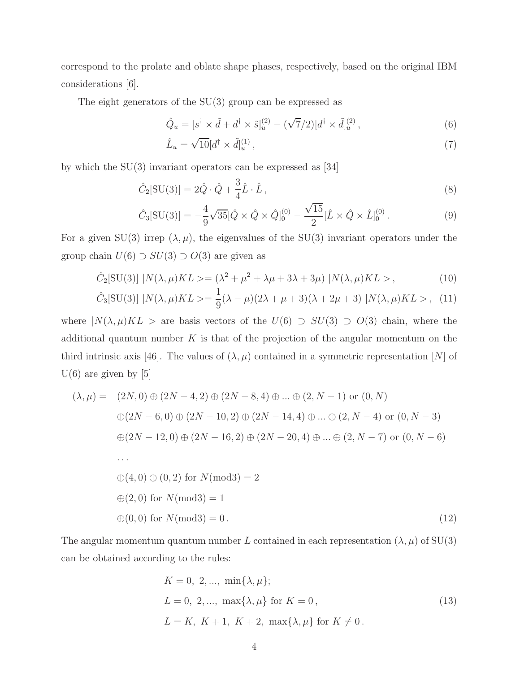correspond to the prolate and oblate shape phases, respectively, based on the original IBM considerations [6].

The eight generators of the SU(3) group can be expressed as

$$
\hat{Q}_u = [s^\dagger \times \tilde{d} + d^\dagger \times \tilde{s}]_u^{(2)} - (\sqrt{7}/2)[d^\dagger \times \tilde{d}]_u^{(2)},\tag{6}
$$

$$
\hat{L}_u = \sqrt{10} \left[ d^\dagger \times \tilde{d} \right]_u^{(1)},\tag{7}
$$

by which the  $SU(3)$  invariant operators can be expressed as [34]

$$
\hat{C}_2[\text{SU}(3)] = 2\hat{Q}\cdot\hat{Q} + \frac{3}{4}\hat{L}\cdot\hat{L},\tag{8}
$$

$$
\hat{C}_3[\text{SU}(3)] = -\frac{4}{9}\sqrt{35}[\hat{Q} \times \hat{Q} \times \hat{Q}]_0^{(0)} - \frac{\sqrt{15}}{2}[\hat{L} \times \hat{Q} \times \hat{L}]_0^{(0)}.
$$
\n(9)

For a given SU(3) irrep  $(\lambda, \mu)$ , the eigenvalues of the SU(3) invariant operators under the group chain  $U(6) \supset SU(3) \supset O(3)$  are given as

$$
\hat{C}_2[\text{SU}(3)] | N(\lambda, \mu)KL \rangle = (\lambda^2 + \mu^2 + \lambda\mu + 3\lambda + 3\mu) | N(\lambda, \mu)KL \rangle, \tag{10}
$$

$$
\hat{C}_3[\text{SU}(3)] | N(\lambda, \mu)KL \rangle = \frac{1}{9}(\lambda - \mu)(2\lambda + \mu + 3)(\lambda + 2\mu + 3) | N(\lambda, \mu)KL \rangle, \tag{11}
$$

where  $|N(\lambda, \mu)KL >$  are basis vectors of the  $U(6) \supset SU(3) \supset O(3)$  chain, where the additional quantum number  $K$  is that of the projection of the angular momentum on the third intrinsic axis [46]. The values of  $(\lambda, \mu)$  contained in a symmetric representation [N] of  $U(6)$  are given by [5]

$$
(\lambda, \mu) = (2N, 0) \oplus (2N - 4, 2) \oplus (2N - 8, 4) \oplus ... \oplus (2, N - 1) \text{ or } (0, N)
$$
  
\n
$$
\oplus (2N - 6, 0) \oplus (2N - 10, 2) \oplus (2N - 14, 4) \oplus ... \oplus (2, N - 4) \text{ or } (0, N - 3)
$$
  
\n
$$
\oplus (2N - 12, 0) \oplus (2N - 16, 2) \oplus (2N - 20, 4) \oplus ... \oplus (2, N - 7) \text{ or } (0, N - 6)
$$
  
\n...  
\n
$$
\oplus (4, 0) \oplus (0, 2) \text{ for } N \text{ (mod3)} = 2
$$
  
\n
$$
\oplus (2, 0) \text{ for } N \text{ (mod3)} = 1
$$
  
\n
$$
\oplus (0, 0) \text{ for } N \text{ (mod3)} = 0.
$$
  
\n(12)

The angular momentum quantum number L contained in each representation  $(\lambda, \mu)$  of SU(3) can be obtained according to the rules:

$$
K = 0, 2, ..., min{\lambda, \mu};
$$
  
\n
$$
L = 0, 2, ..., max{\lambda, \mu} for K = 0,
$$
  
\n
$$
L = K, K + 1, K + 2, max{\lambda, \mu} for K \neq 0.
$$
\n(13)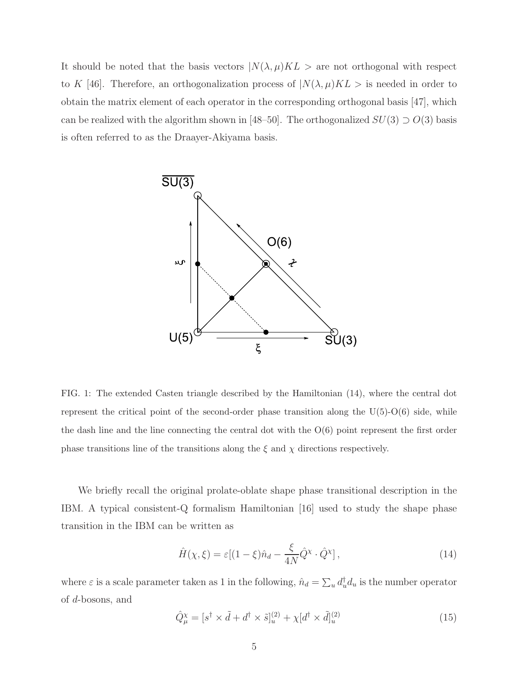It should be noted that the basis vectors  $N(\lambda, \mu)KL >$  are not orthogonal with respect to K [46]. Therefore, an orthogonalization process of  $N(\lambda, \mu)KL >$  is needed in order to obtain the matrix element of each operator in the corresponding orthogonal basis [47], which can be realized with the algorithm shown in [48–50]. The orthogonalized  $SU(3) \supset O(3)$  basis is often referred to as the Draayer-Akiyama basis.



FIG. 1: The extended Casten triangle described by the Hamiltonian (14), where the central dot represent the critical point of the second-order phase transition along the  $U(5)-O(6)$  side, while the dash line and the line connecting the central dot with the  $O(6)$  point represent the first order phase transitions line of the transitions along the  $\xi$  and  $\chi$  directions respectively.

We briefly recall the original prolate-oblate shape phase transitional description in the IBM. A typical consistent-Q formalism Hamiltonian [16] used to study the shape phase transition in the IBM can be written as

$$
\hat{H}(\chi,\xi) = \varepsilon [(1-\xi)\hat{n}_d - \frac{\xi}{4N}\hat{Q}^{\chi} \cdot \hat{Q}^{\chi}], \qquad (14)
$$

where  $\varepsilon$  is a scale parameter taken as 1 in the following,  $\hat{n}_d = \sum_u d_u^{\dagger} d_u$  is the number operator of d-bosons, and

$$
\hat{Q}^{\chi}_{\mu} = [s^{\dagger} \times \tilde{d} + d^{\dagger} \times \tilde{s}]^{(2)}_{u} + \chi[d^{\dagger} \times \tilde{d}]^{(2)}_{u} \tag{15}
$$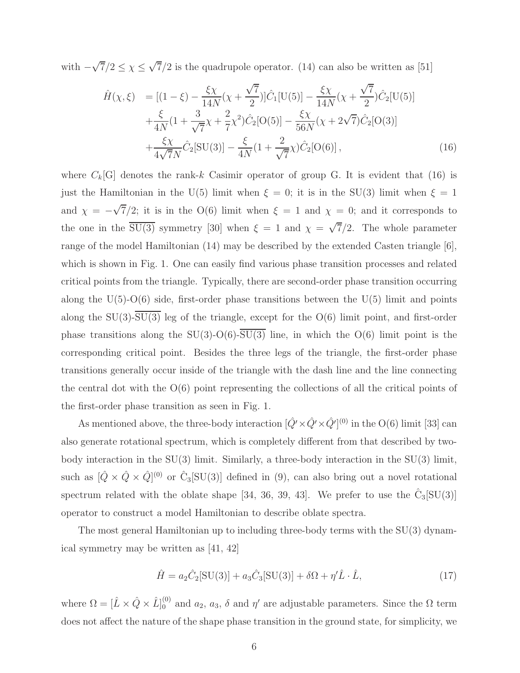with  $-\sqrt{7}/2 \le \chi \le \sqrt{7}/2$  is the quadrupole operator. (14) can also be written as [51]

$$
\hat{H}(\chi,\xi) = [(1-\xi) - \frac{\xi\chi}{14N}(\chi + \frac{\sqrt{7}}{2})]\hat{C}_1[\text{U}(5)] - \frac{\xi\chi}{14N}(\chi + \frac{\sqrt{7}}{2})\hat{C}_2[\text{U}(5)] \n+ \frac{\xi}{4N}(1 + \frac{3}{\sqrt{7}}\chi + \frac{2}{7}\chi^2)\hat{C}_2[\text{O}(5)] - \frac{\xi\chi}{56N}(\chi + 2\sqrt{7})\hat{C}_2[\text{O}(3)] \n+ \frac{\xi\chi}{4\sqrt{7}N}\hat{C}_2[\text{SU}(3)] - \frac{\xi}{4N}(1 + \frac{2}{\sqrt{7}}\chi)\hat{C}_2[\text{O}(6)],
$$
\n(16)

where  $C_k[G]$  denotes the rank-k Casimir operator of group G. It is evident that (16) is just the Hamiltonian in the U(5) limit when  $\xi = 0$ ; it is in the SU(3) limit when  $\xi = 1$ and  $\chi = -\sqrt{7}/2$ ; it is in the O(6) limit when  $\xi = 1$  and  $\chi = 0$ ; and it corresponds to the one in the  $\overline{SU(3)}$  symmetry [30] when  $\xi = 1$  and  $\chi = \sqrt{7}/2$ . The whole parameter range of the model Hamiltonian (14) may be described by the extended Casten triangle [6], which is shown in Fig. 1. One can easily find various phase transition processes and related critical points from the triangle. Typically, there are second-order phase transition occurring along the  $U(5)-O(6)$  side, first-order phase transitions between the  $U(5)$  limit and points along the  $SU(3)-\overline{SU(3)}$  leg of the triangle, except for the  $O(6)$  limit point, and first-order phase transitions along the  $SU(3)$ -O(6)- $\overline{SU(3)}$  line, in which the O(6) limit point is the corresponding critical point. Besides the three legs of the triangle, the first-order phase transitions generally occur inside of the triangle with the dash line and the line connecting the central dot with the  $O(6)$  point representing the collections of all the critical points of the first-order phase transition as seen in Fig. 1.

As mentioned above, the three-body interaction  $[\hat{Q'} \times \hat{Q'} \times \hat{Q'}]^{(0)}$  in the O(6) limit [33] can also generate rotational spectrum, which is completely different from that described by twobody interaction in the  $SU(3)$  limit. Similarly, a three-body interaction in the  $SU(3)$  limit, such as  $[\hat{Q} \times \hat{Q} \times \hat{Q}]^{(0)}$  or  $\hat{C}_3[\text{SU(3)}]$  defined in (9), can also bring out a novel rotational spectrum related with the oblate shape [34, 36, 39, 43]. We prefer to use the  $\hat{C}_3[SU(3)]$ operator to construct a model Hamiltonian to describe oblate spectra.

The most general Hamiltonian up to including three-body terms with the SU(3) dynamical symmetry may be written as [41, 42]

$$
\hat{H} = a_2 \hat{C}_2[\text{SU}(3)] + a_3 \hat{C}_3[\text{SU}(3)] + \delta\Omega + \eta' \hat{L} \cdot \hat{L},\tag{17}
$$

where  $\Omega = [\hat{L} \times \hat{Q} \times \hat{L}]_0^{(0)}$  and  $a_2$ ,  $a_3$ ,  $\delta$  and  $\eta'$  are adjustable parameters. Since the  $\Omega$  term does not affect the nature of the shape phase transition in the ground state, for simplicity, we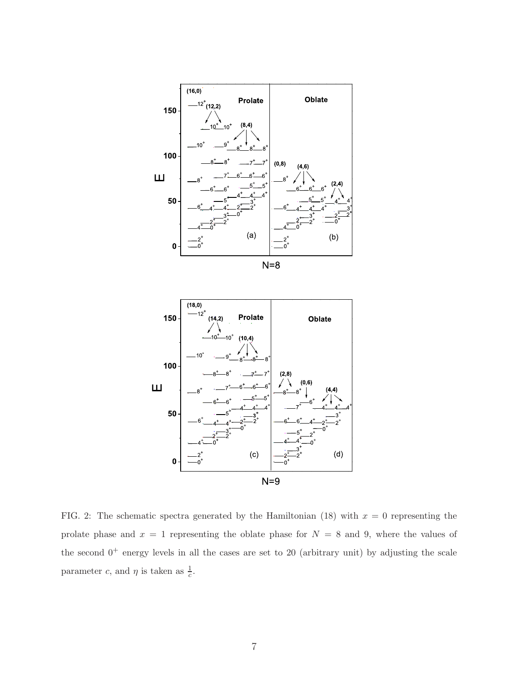



FIG. 2: The schematic spectra generated by the Hamiltonian (18) with  $x = 0$  representing the prolate phase and  $x = 1$  representing the oblate phase for  $N = 8$  and 9, where the values of the second  $0^+$  energy levels in all the cases are set to 20 (arbitrary unit) by adjusting the scale parameter c, and  $\eta$  is taken as  $\frac{1}{c}$ .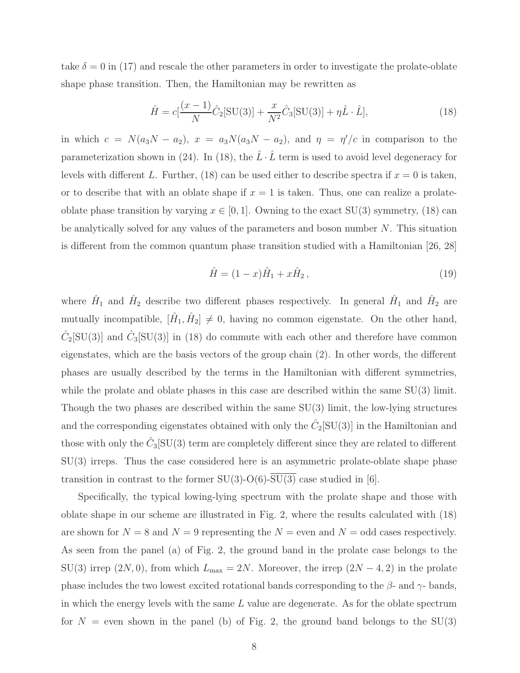take  $\delta = 0$  in (17) and rescale the other parameters in order to investigate the prolate-oblate shape phase transition. Then, the Hamiltonian may be rewritten as

$$
\hat{H} = c\left[\frac{(x-1)}{N}\hat{C}_2[\text{SU}(3)] + \frac{x}{N^2}\hat{C}_3[\text{SU}(3)] + \eta \hat{L} \cdot \hat{L}\right],\tag{18}
$$

in which  $c = N(a_3N - a_2)$ ,  $x = a_3N(a_3N - a_2)$ , and  $\eta = \eta'/c$  in comparison to the parameterization shown in (24). In (18), the  $\hat{L} \cdot \hat{L}$  term is used to avoid level degeneracy for levels with different L. Further, (18) can be used either to describe spectra if  $x = 0$  is taken, or to describe that with an oblate shape if  $x = 1$  is taken. Thus, one can realize a prolateoblate phase transition by varying  $x \in [0, 1]$ . Owning to the exact SU(3) symmetry, (18) can be analytically solved for any values of the parameters and boson number  $N$ . This situation is different from the common quantum phase transition studied with a Hamiltonian [26, 28]

$$
\hat{H} = (1 - x)\hat{H}_1 + x\hat{H}_2, \tag{19}
$$

where  $\hat{H}_1$  and  $\hat{H}_2$  describe two different phases respectively. In general  $\hat{H}_1$  and  $\hat{H}_2$  are mutually incompatible,  $[\hat{H}_1, \hat{H}_2] \neq 0$ , having no common eigenstate. On the other hand,  $\hat{C}_2[\text{SU}(3)]$  and  $\hat{C}_3[\text{SU}(3)]$  in (18) do commute with each other and therefore have common eigenstates, which are the basis vectors of the group chain (2). In other words, the different phases are usually described by the terms in the Hamiltonian with different symmetries, while the prolate and oblate phases in this case are described within the same  $SU(3)$  limit. Though the two phases are described within the same SU(3) limit, the low-lying structures and the corresponding eigenstates obtained with only the  $\hat{C}_2[\mathrm{SU}(3)]$  in the Hamiltonian and those with only the  $\hat{C}_3[\text{SU}(3)$  term are completely different since they are related to different SU(3) irreps. Thus the case considered here is an asymmetric prolate-oblate shape phase transition in contrast to the former  $SU(3)$ -O(6)- $\overline{SU(3)}$  case studied in [6].

Specifically, the typical lowing-lying spectrum with the prolate shape and those with oblate shape in our scheme are illustrated in Fig. 2, where the results calculated with (18) are shown for  $N = 8$  and  $N = 9$  representing the  $N =$  even and  $N =$  odd cases respectively. As seen from the panel (a) of Fig. 2, the ground band in the prolate case belongs to the SU(3) irrep  $(2N, 0)$ , from which  $L_{\text{max}} = 2N$ . Moreover, the irrep  $(2N - 4, 2)$  in the prolate phase includes the two lowest excited rotational bands corresponding to the  $\beta$ - and  $\gamma$ - bands, in which the energy levels with the same  $L$  value are degenerate. As for the oblate spectrum for  $N =$  even shown in the panel (b) of Fig. 2, the ground band belongs to the SU(3)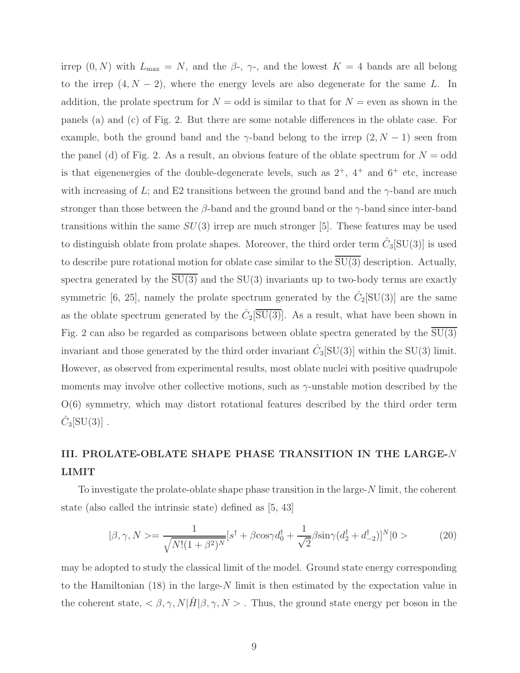irrep  $(0, N)$  with  $L_{\text{max}} = N$ , and the  $\beta$ -,  $\gamma$ -, and the lowest  $K = 4$  bands are all belong to the irrep  $(4, N - 2)$ , where the energy levels are also degenerate for the same L. In addition, the prolate spectrum for  $N =$  odd is similar to that for  $N =$  even as shown in the panels (a) and (c) of Fig. 2. But there are some notable differences in the oblate case. For example, both the ground band and the  $\gamma$ -band belong to the irrep  $(2, N - 1)$  seen from the panel (d) of Fig. 2. As a result, an obvious feature of the oblate spectrum for  $N =$  odd is that eigenenergies of the double-degenerate levels, such as  $2^+$ ,  $4^+$  and  $6^+$  etc, increase with increasing of L; and E2 transitions between the ground band and the  $\gamma$ -band are much stronger than those between the  $\beta$ -band and the ground band or the  $\gamma$ -band since inter-band transitions within the same  $SU(3)$  irrep are much stronger [5]. These features may be used to distinguish oblate from prolate shapes. Moreover, the third order term  $\hat{C}_3[\text{SU}(3)]$  is used to describe pure rotational motion for oblate case similar to the  $\overline{SU(3)}$  description. Actually, spectra generated by the  $\overline{SU(3)}$  and the  $SU(3)$  invariants up to two-body terms are exactly symmetric [6, 25], namely the prolate spectrum generated by the  $\hat{C}_2[\text{SU}(3)]$  are the same as the oblate spectrum generated by the  $\hat{C}_2[\overline{{\rm SU}(3)}]$ . As a result, what have been shown in Fig. 2 can also be regarded as comparisons between oblate spectra generated by the  $\overline{SU(3)}$ invariant and those generated by the third order invariant  $\hat{C}_3[\text{SU}(3)]$  within the SU(3) limit. However, as observed from experimental results, most oblate nuclei with positive quadrupole moments may involve other collective motions, such as  $\gamma$ -unstable motion described by the O(6) symmetry, which may distort rotational features described by the third order term  $\hat{C}_3[\mathrm{SU}(3)]$ .

## III. PROLATE-OBLATE SHAPE PHASE TRANSITION IN THE LARGE-N LIMIT

To investigate the prolate-oblate shape phase transition in the large-N limit, the coherent state (also called the intrinsic state) defined as [5, 43]

$$
|\beta, \gamma, N\rangle = \frac{1}{\sqrt{N!(1+\beta^2)^N}} [s^{\dagger} + \beta \cos\gamma d_0^{\dagger} + \frac{1}{\sqrt{2}} \beta \sin\gamma (d_2^{\dagger} + d_{-2}^{\dagger})]^N |0\rangle \tag{20}
$$

may be adopted to study the classical limit of the model. Ground state energy corresponding to the Hamiltonian (18) in the large-N limit is then estimated by the expectation value in the coherent state,  $\langle \beta, \gamma, N | \hat{H} | \beta, \gamma, N \rangle$ . Thus, the ground state energy per boson in the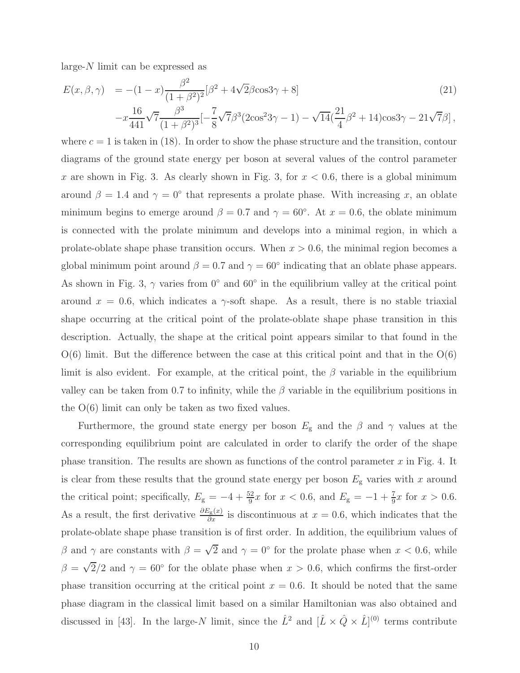large- $N$  limit can be expressed as

$$
E(x, \beta, \gamma) = -(1 - x) \frac{\beta^2}{(1 + \beta^2)^2} [\beta^2 + 4\sqrt{2}\beta\cos 3\gamma + 8]
$$
\n
$$
-x \frac{16}{441} \sqrt{7} \frac{\beta^3}{(1 + \beta^2)^3} [-\frac{7}{8} \sqrt{7}\beta^3 (2\cos^2 3\gamma - 1) - \sqrt{14} (\frac{21}{4}\beta^2 + 14)\cos 3\gamma - 21\sqrt{7}\beta],
$$
\n(21)

where  $c = 1$  is taken in (18). In order to show the phase structure and the transition, contour diagrams of the ground state energy per boson at several values of the control parameter x are shown in Fig. 3. As clearly shown in Fig. 3, for  $x < 0.6$ , there is a global minimum around  $\beta = 1.4$  and  $\gamma = 0^{\circ}$  that represents a prolate phase. With increasing x, an oblate minimum begins to emerge around  $\beta = 0.7$  and  $\gamma = 60^{\circ}$ . At  $x = 0.6$ , the oblate minimum is connected with the prolate minimum and develops into a minimal region, in which a prolate-oblate shape phase transition occurs. When  $x > 0.6$ , the minimal region becomes a global minimum point around  $\beta = 0.7$  and  $\gamma = 60^{\circ}$  indicating that an oblate phase appears. As shown in Fig. 3,  $\gamma$  varies from 0° and 60° in the equilibrium valley at the critical point around  $x = 0.6$ , which indicates a  $\gamma$ -soft shape. As a result, there is no stable triaxial shape occurring at the critical point of the prolate-oblate shape phase transition in this description. Actually, the shape at the critical point appears similar to that found in the  $O(6)$  limit. But the difference between the case at this critical point and that in the  $O(6)$ limit is also evident. For example, at the critical point, the  $\beta$  variable in the equilibrium valley can be taken from 0.7 to infinity, while the  $\beta$  variable in the equilibrium positions in the O(6) limit can only be taken as two fixed values.

Furthermore, the ground state energy per boson  $E_{\rm g}$  and the  $\beta$  and  $\gamma$  values at the corresponding equilibrium point are calculated in order to clarify the order of the shape phase transition. The results are shown as functions of the control parameter  $x$  in Fig. 4. It is clear from these results that the ground state energy per boson  $E<sub>g</sub>$  varies with x around the critical point; specifically,  $E_{\rm g} = -4 + \frac{52}{9}x$  for  $x < 0.6$ , and  $E_{\rm g} = -1 + \frac{7}{9}x$  for  $x > 0.6$ . As a result, the first derivative  $\frac{\partial E_{g}(x)}{\partial x}$  is discontinuous at  $x = 0.6$ , which indicates that the prolate-oblate shape phase transition is of first order. In addition, the equilibrium values of β and γ are constants with  $β = \sqrt{2}$  and  $γ = 0°$  for the prolate phase when  $x < 0.6$ , while  $\beta = \sqrt{2}/2$  and  $\gamma = 60^{\circ}$  for the oblate phase when  $x > 0.6$ , which confirms the first-order phase transition occurring at the critical point  $x = 0.6$ . It should be noted that the same phase diagram in the classical limit based on a similar Hamiltonian was also obtained and discussed in [43]. In the large-N limit, since the  $\hat{L}^2$  and  $[\hat{L} \times \hat{Q} \times \hat{L}]^{(0)}$  terms contribute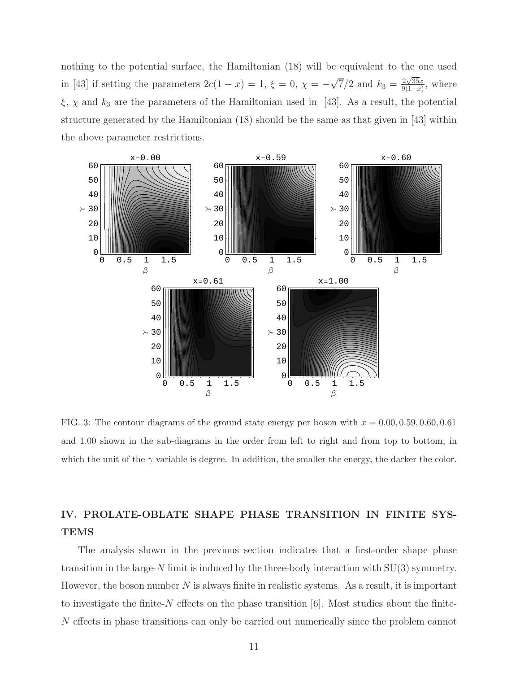nothing to the potential surface, the Hamiltonian (18) will be equivalent to the one used in [43] if setting the parameters  $2c(1-x) = 1$ ,  $\xi = 0$ ,  $\chi = -\sqrt{7}/2$  and  $k_3 = \frac{2\sqrt{35}x}{9(1-x)}$  $\frac{2\sqrt{35x}}{9(1-x)}$ , where  $\xi$ ,  $\chi$  and  $k_3$  are the parameters of the Hamiltonian used in [43]. As a result, the potential structure generated by the Hamiltonian (18) should be the same as that given in [43] within the above parameter restrictions.



FIG. 3: The contour diagrams of the ground state energy per boson with  $x = 0.00, 0.59, 0.60, 0.61$ and 1.00 shown in the sub-diagrams in the order from left to right and from top to bottom, in which the unit of the  $\gamma$  variable is degree. In addition, the smaller the energy, the darker the color.

### IV. PROLATE-OBLATE SHAPE PHASE TRANSITION IN FINITE SYS-**TEMS**

The analysis shown in the previous section indicates that a first-order shape phase transition in the large-N limit is induced by the three-body interaction with  $SU(3)$  symmetry. However, the boson number  $N$  is always finite in realistic systems. As a result, it is important to investigate the finite-N effects on the phase transition  $[6]$ . Most studies about the finite-N effects in phase transitions can only be carried out numerically since the problem cannot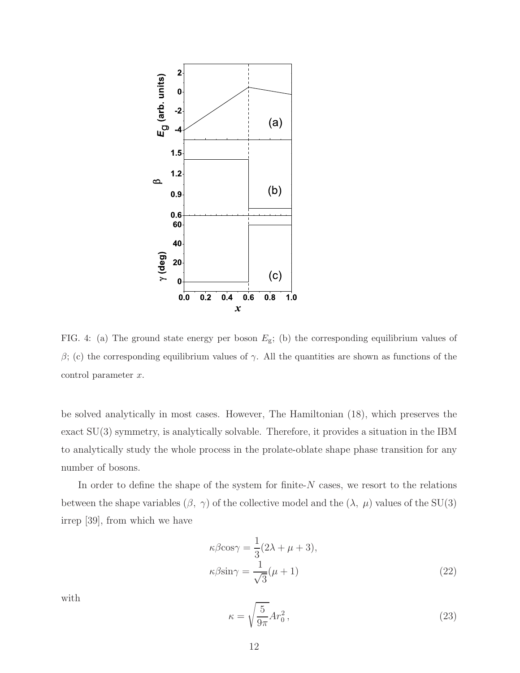

FIG. 4: (a) The ground state energy per boson  $E_{\rm g}$ ; (b) the corresponding equilibrium values of β; (c) the corresponding equilibrium values of  $\gamma$ . All the quantities are shown as functions of the  $control$  parameter  $x$ .

be solved analytically in most cases. However, The Hamiltonian (18), which preserves the exact SU(3) symmetry, is analytically solvable. Therefore, it provides a situation in the IBM to analytically study the whole process in the prolate-oblate shape phase transition for any number of bosons.

In order to define the shape of the system for finite- $N$  cases, we resort to the relations between the shape variables  $(\beta, \gamma)$  of the collective model and the  $(\lambda, \mu)$  values of the SU(3) irrep [39], from which we have

$$
\kappa \beta \cos \gamma = \frac{1}{3} (2\lambda + \mu + 3),
$$
  

$$
\kappa \beta \sin \gamma = \frac{1}{\sqrt{3}} (\mu + 1)
$$
 (22)

with

$$
\kappa = \sqrt{\frac{5}{9\pi}} Ar_0^2 \,,\tag{23}
$$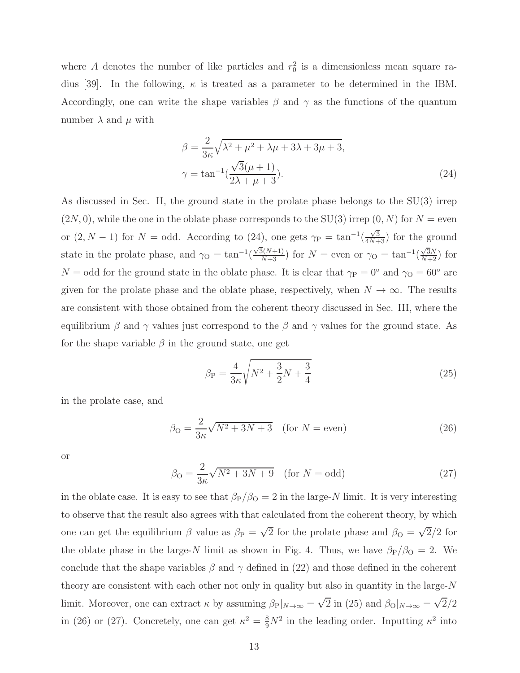where A denotes the number of like particles and  $r_0^2$  is a dimensionless mean square radius [39]. In the following,  $\kappa$  is treated as a parameter to be determined in the IBM. Accordingly, one can write the shape variables  $\beta$  and  $\gamma$  as the functions of the quantum number  $\lambda$  and  $\mu$  with

$$
\beta = \frac{2}{3\kappa}\sqrt{\lambda^2 + \mu^2 + \lambda\mu + 3\lambda + 3\mu + 3},
$$
  

$$
\gamma = \tan^{-1}\left(\frac{\sqrt{3}(\mu + 1)}{2\lambda + \mu + 3}\right).
$$
 (24)

As discussed in Sec. II, the ground state in the prolate phase belongs to the SU(3) irrep  $(2N, 0)$ , while the one in the oblate phase corresponds to the SU(3) irrep  $(0, N)$  for  $N =$  even or  $(2, N - 1)$  for  $N =$  odd. According to  $(24)$ , one gets  $\gamma_{\rm P} = \tan^{-1}(\frac{\sqrt{3}}{4N+3})$  for the ground state in the prolate phase, and  $\gamma_{\rm O} = \tan^{-1}(\frac{\sqrt{3}(N+1)}{N+3})$  for  $N =$  even or  $\gamma_{\rm O} = \tan^{-1}(\frac{\sqrt{3}N}{N+2})$  for  $N =$  odd for the ground state in the oblate phase. It is clear that  $\gamma_{\rm P} = 0^{\circ}$  and  $\gamma_{\rm O} = 60^{\circ}$  are given for the prolate phase and the oblate phase, respectively, when  $N \to \infty$ . The results are consistent with those obtained from the coherent theory discussed in Sec. III, where the equilibrium  $\beta$  and  $\gamma$  values just correspond to the  $\beta$  and  $\gamma$  values for the ground state. As for the shape variable  $\beta$  in the ground state, one get

$$
\beta_{\rm P} = \frac{4}{3\kappa} \sqrt{N^2 + \frac{3}{2}N + \frac{3}{4}}
$$
 (25)

in the prolate case, and

$$
\beta_{\rm O} = \frac{2}{3\kappa} \sqrt{N^2 + 3N + 3} \quad \text{(for } N = \text{even)}
$$
\n(26)

or

$$
\beta_{\rm O} = \frac{2}{3\kappa} \sqrt{N^2 + 3N + 9} \quad \text{(for } N = \text{odd)}\tag{27}
$$

in the oblate case. It is easy to see that  $\beta_P/\beta_O = 2$  in the large-N limit. It is very interesting to observe that the result also agrees with that calculated from the coherent theory, by which one can get the equilibrium  $\beta$  value as  $\beta_P = \sqrt{2}$  for the prolate phase and  $\beta_Q = \sqrt{2}/2$  for the oblate phase in the large-N limit as shown in Fig. 4. Thus, we have  $\beta_P/\beta_O = 2$ . We conclude that the shape variables  $\beta$  and  $\gamma$  defined in (22) and those defined in the coherent theory are consistent with each other not only in quality but also in quantity in the large- $N$ limit. Moreover, one can extract  $\kappa$  by assuming  $\beta_P|_{N\to\infty} = \sqrt{2}$  in (25) and  $\beta_O|_{N\to\infty} = \sqrt{2}/2$ in (26) or (27). Concretely, one can get  $\kappa^2 = \frac{8}{9}N^2$  in the leading order. Inputting  $\kappa^2$  into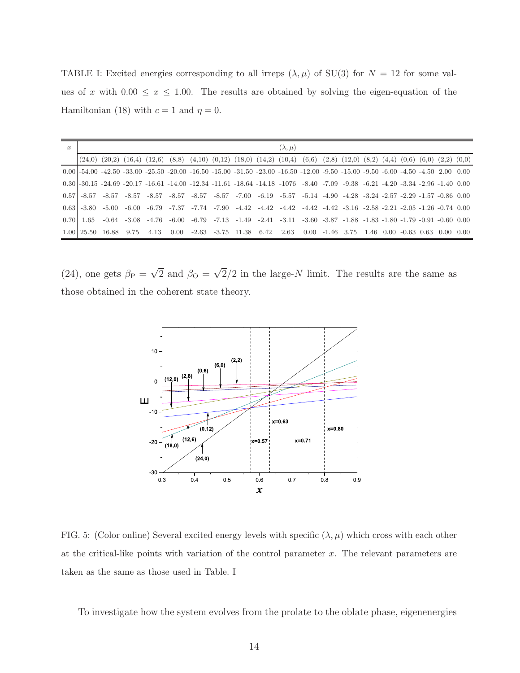TABLE I: Excited energies corresponding to all irreps  $(\lambda, \mu)$  of SU(3) for  $N = 12$  for some values of x with  $0.00 \le x \le 1.00$ . The results are obtained by solving the eigen-equation of the Hamiltonian (18) with  $c = 1$  and  $\eta = 0$ .

| $\boldsymbol{x}$ | $(\lambda, \mu)$ |                                                                                                                                                                   |  |  |  |  |  |  |  |                                                                                                                                                                           |  |  |  |  |  |  |  |  |
|------------------|------------------|-------------------------------------------------------------------------------------------------------------------------------------------------------------------|--|--|--|--|--|--|--|---------------------------------------------------------------------------------------------------------------------------------------------------------------------------|--|--|--|--|--|--|--|--|
|                  |                  | $(24,0)$ $(20,2)$ $(16,4)$ $(12,6)$ $(8,8)$ $(4,10)$ $(0,12)$ $(18,0)$ $(14,2)$ $(10,4)$ $(6,6)$ $(2,8)$ $(12,0)$ $(8,2)$ $(4,4)$ $(0,6)$ $(6,0)$ $(2,2)$ $(0,0)$ |  |  |  |  |  |  |  |                                                                                                                                                                           |  |  |  |  |  |  |  |  |
|                  |                  |                                                                                                                                                                   |  |  |  |  |  |  |  |                                                                                                                                                                           |  |  |  |  |  |  |  |  |
|                  |                  |                                                                                                                                                                   |  |  |  |  |  |  |  | $0.00$ $-54.00$ $-42.50$ $-33.00$ $-25.50$ $-20.00$ $-16.50$ $-15.00$ $-31.50$ $-23.00$ $-16.50$ $-12.00$ $-9.50$ $-15.00$ $-9.50$ $-6.00$ $-4.50$ $-4.50$ $-2.00$ $0.00$ |  |  |  |  |  |  |  |  |
|                  |                  |                                                                                                                                                                   |  |  |  |  |  |  |  | $0.30$ ]-30.15 -24.69 -20.17 -16.61 -14.00 -12.34 -11.61 -18.64 -14.18 -1076 -8.40 -7.09 -9.38 -6.21 -4.20 -3.34 -2.96 -1.40 0.00                                         |  |  |  |  |  |  |  |  |
|                  |                  |                                                                                                                                                                   |  |  |  |  |  |  |  | $0.57$ $-8.57$ $-8.57$ $-8.57$ $-8.57$ $-8.57$ $-8.57$ $-8.57$ $-7.00$ $-6.19$ $-5.57$ $-5.14$ $-4.90$ $-4.28$ $-3.24$ $-2.57$ $-2.29$ $-1.57$ $-0.86$ $0.00$             |  |  |  |  |  |  |  |  |
|                  |                  |                                                                                                                                                                   |  |  |  |  |  |  |  | $0.631 - 3.80$ $-5.00$ $-6.00$ $-6.79$ $-7.37$ $-7.74$ $-7.90$ $-4.42$ $-4.42$ $-4.42$ $-4.42$ $-4.42$ $-3.16$ $-2.58$ $-2.21$ $-2.05$ $-1.26$ $-0.74$ $0.00$             |  |  |  |  |  |  |  |  |
|                  |                  |                                                                                                                                                                   |  |  |  |  |  |  |  | $0.701\ 1.65$ $-0.64$ $-3.08$ $-4.76$ $-6.00$ $-6.79$ $-7.13$ $-1.49$ $-2.41$ $-3.11$ $-3.60$ $-3.87$ $-1.88$ $-1.83$ $-1.80$ $-1.79$ $-0.91$ $-0.60$ $0.00$              |  |  |  |  |  |  |  |  |
|                  |                  |                                                                                                                                                                   |  |  |  |  |  |  |  | $1.00$ 25.50 16.88 9.75 4.13 0.00 -2.63 -3.75 11.38 6.42 2.63 0.00 -1.46 3.75 1.46 0.00 -0.63 0.63 0.00 0.00                                                              |  |  |  |  |  |  |  |  |

(24), one gets  $\beta_P = \sqrt{2}$  and  $\beta_Q = \sqrt{2}/2$  in the large-N limit. The results are the same as those obtained in the coherent state theory.



FIG. 5: (Color online) Several excited energy levels with specific  $(\lambda, \mu)$  which cross with each other at the critical-like points with variation of the control parameter  $x$ . The relevant parameters are taken as the same as those used in Table. I

To investigate how the system evolves from the prolate to the oblate phase, eigenenergies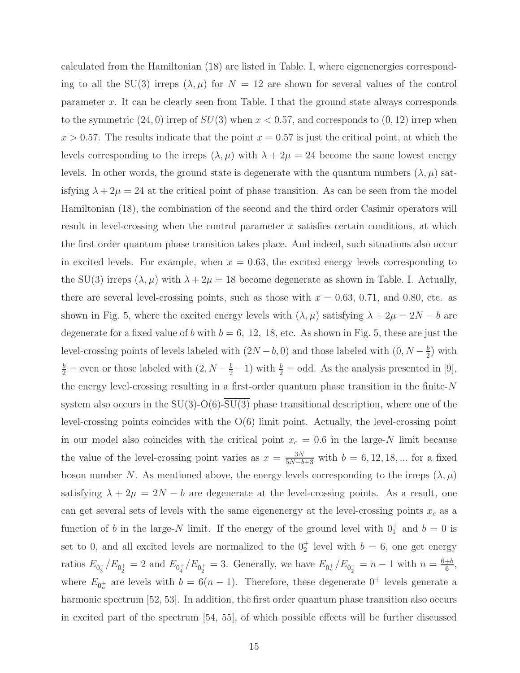calculated from the Hamiltonian (18) are listed in Table. I, where eigenenergies corresponding to all the SU(3) irreps  $(\lambda, \mu)$  for  $N = 12$  are shown for several values of the control parameter x. It can be clearly seen from Table. I that the ground state always corresponds to the symmetric  $(24, 0)$  irrep of  $SU(3)$  when  $x < 0.57$ , and corresponds to  $(0, 12)$  irrep when  $x > 0.57$ . The results indicate that the point  $x = 0.57$  is just the critical point, at which the levels corresponding to the irreps  $(\lambda, \mu)$  with  $\lambda + 2\mu = 24$  become the same lowest energy levels. In other words, the ground state is degenerate with the quantum numbers  $(\lambda, \mu)$  satisfying  $\lambda + 2\mu = 24$  at the critical point of phase transition. As can be seen from the model Hamiltonian (18), the combination of the second and the third order Casimir operators will result in level-crossing when the control parameter  $x$  satisfies certain conditions, at which the first order quantum phase transition takes place. And indeed, such situations also occur in excited levels. For example, when  $x = 0.63$ , the excited energy levels corresponding to the SU(3) irreps  $(\lambda, \mu)$  with  $\lambda + 2\mu = 18$  become degenerate as shown in Table. I. Actually, there are several level-crossing points, such as those with  $x = 0.63, 0.71,$  and 0.80, etc. as shown in Fig. 5, where the excited energy levels with  $(\lambda, \mu)$  satisfying  $\lambda + 2\mu = 2N - b$  are degenerate for a fixed value of b with  $b = 6, 12, 18,$  etc. As shown in Fig. 5, these are just the level-crossing points of levels labeled with  $(2N - b, 0)$  and those labeled with  $(0, N - \frac{b}{2})$  $\frac{b}{2}$ ) with  $\frac{b}{2}$  = even or those labeled with  $(2, N-\frac{b}{2}-1)$  with  $\frac{b}{2}$  = odd. As the analysis presented in [9], the energy level-crossing resulting in a first-order quantum phase transition in the finite-N system also occurs in the  $SU(3)$ -O(6)- $SU(3)$  phase transitional description, where one of the level-crossing points coincides with the O(6) limit point. Actually, the level-crossing point in our model also coincides with the critical point  $x_c = 0.6$  in the large-N limit because the value of the level-crossing point varies as  $x = \frac{3N}{5N-b+3}$  with  $b = 6, 12, 18, ...$  for a fixed boson number N. As mentioned above, the energy levels corresponding to the irreps  $(\lambda, \mu)$ satisfying  $\lambda + 2\mu = 2N - b$  are degenerate at the level-crossing points. As a result, one can get several sets of levels with the same eigenenergy at the level-crossing points  $x_c$  as a function of b in the large-N limit. If the energy of the ground level with  $0^+_1$  and  $b = 0$  is set to 0, and all excited levels are normalized to the  $0<sub>2</sub><sup>+</sup>$  level with  $b = 6$ , one get energy ratios  $E_{0_3^+}/E_{0_2^+} = 2$  and  $E_{0_4^+}/E_{0_2^+} = 3$ . Generally, we have  $E_{0_n^+}/E_{0_2^+} = n - 1$  with  $n = \frac{6+b}{6}$  $\frac{+b}{6}$ , where  $E_{0_n^+}$  are levels with  $b = 6(n-1)$ . Therefore, these degenerate 0<sup>+</sup> levels generate a harmonic spectrum [52, 53]. In addition, the first order quantum phase transition also occurs in excited part of the spectrum [54, 55], of which possible effects will be further discussed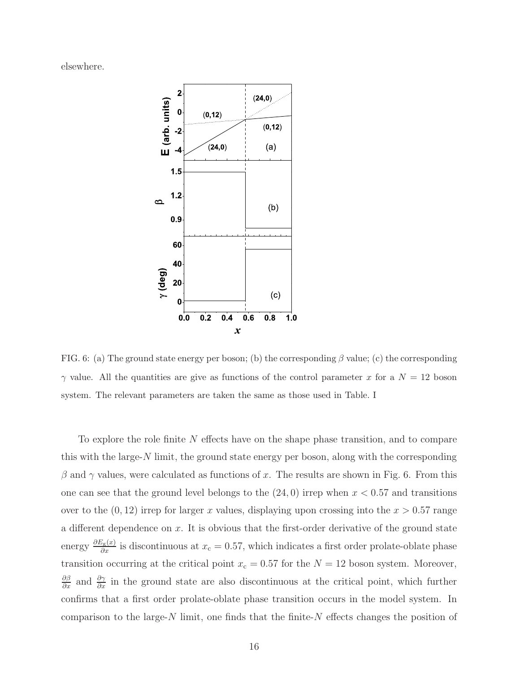elsewhere.



FIG. 6: (a) The ground state energy per boson; (b) the corresponding  $\beta$  value; (c) the corresponding  $\gamma$  value. All the quantities are give as functions of the control parameter x for a  $N = 12$  boson system. The relevant parameters are taken the same as those used in Table. I

To explore the role finite  $N$  effects have on the shape phase transition, and to compare this with the large- $N$  limit, the ground state energy per boson, along with the corresponding  $\beta$  and  $\gamma$  values, were calculated as functions of x. The results are shown in Fig. 6. From this one can see that the ground level belongs to the  $(24, 0)$  irrep when  $x < 0.57$  and transitions over to the  $(0, 12)$  irrep for larger x values, displaying upon crossing into the  $x > 0.57$  range a different dependence on  $x$ . It is obvious that the first-order derivative of the ground state energy  $\frac{\partial E_{g}(x)}{\partial x}$  is discontinuous at  $x_c = 0.57$ , which indicates a first order prolate-oblate phase transition occurring at the critical point  $x_c = 0.57$  for the  $N = 12$  boson system. Moreover,  $\frac{\partial \beta}{\partial x}$  and  $\frac{\partial \gamma}{\partial x}$  in the ground state are also discontinuous at the critical point, which further confirms that a first order prolate-oblate phase transition occurs in the model system. In comparison to the large- $N$  limit, one finds that the finite- $N$  effects changes the position of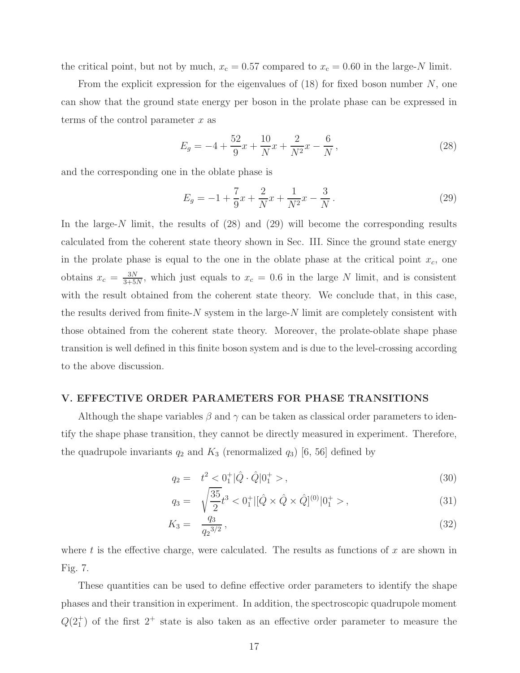the critical point, but not by much,  $x_c = 0.57$  compared to  $x_c = 0.60$  in the large-N limit.

From the explicit expression for the eigenvalues of  $(18)$  for fixed boson number N, one can show that the ground state energy per boson in the prolate phase can be expressed in terms of the control parameter  $x$  as

$$
E_g = -4 + \frac{52}{9}x + \frac{10}{N}x + \frac{2}{N^2}x - \frac{6}{N},
$$
\n(28)

and the corresponding one in the oblate phase is

$$
E_g = -1 + \frac{7}{9}x + \frac{2}{N}x + \frac{1}{N^2}x - \frac{3}{N}.
$$
\n(29)

In the large-N limit, the results of  $(28)$  and  $(29)$  will become the corresponding results calculated from the coherent state theory shown in Sec. III. Since the ground state energy in the prolate phase is equal to the one in the oblate phase at the critical point  $x_c$ , one obtains  $x_c = \frac{3N}{3+5}$  $\frac{3N}{3+5N}$ , which just equals to  $x_c = 0.6$  in the large N limit, and is consistent with the result obtained from the coherent state theory. We conclude that, in this case, the results derived from finite- $N$  system in the large- $N$  limit are completely consistent with those obtained from the coherent state theory. Moreover, the prolate-oblate shape phase transition is well defined in this finite boson system and is due to the level-crossing according to the above discussion.

#### V. EFFECTIVE ORDER PARAMETERS FOR PHASE TRANSITIONS

Although the shape variables  $\beta$  and  $\gamma$  can be taken as classical order parameters to identify the shape phase transition, they cannot be directly measured in experiment. Therefore, the quadrupole invariants  $q_2$  and  $K_3$  (renormalized  $q_3$ ) [6, 56] defined by

$$
q_2 = t^2 < 0^+_1 | \hat{Q} \cdot \hat{Q} | 0^+_1 > , \tag{30}
$$

$$
q_3 = \sqrt{\frac{35}{2}}t^3 < 0_1^+ |[ \hat{Q} \times \hat{Q} \times \hat{Q}]^{(0)} |0_1^+ > , \tag{31}
$$

$$
K_3 = \frac{q_3}{q_2^{3/2}},\tag{32}
$$

where t is the effective charge, were calculated. The results as functions of  $x$  are shown in Fig. 7.

These quantities can be used to define effective order parameters to identify the shape phases and their transition in experiment. In addition, the spectroscopic quadrupole moment  $Q(2<sub>1</sub><sup>+</sup>)$  of the first  $2<sup>+</sup>$  state is also taken as an effective order parameter to measure the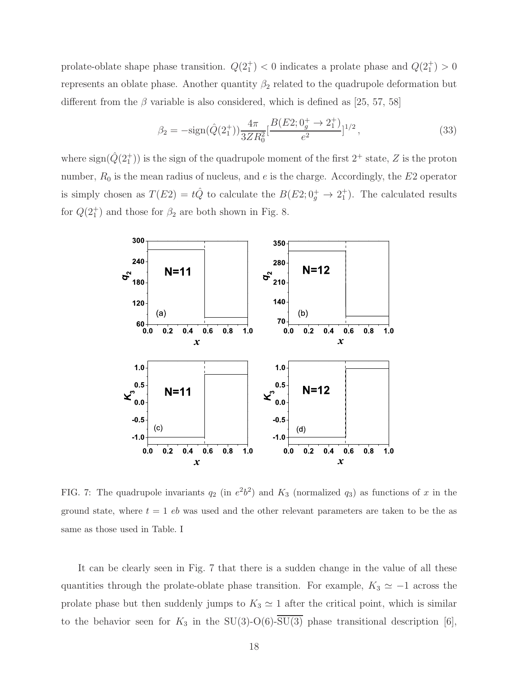prolate-oblate shape phase transition.  $Q(2_1^+) < 0$  indicates a prolate phase and  $Q(2_1^+) > 0$ represents an oblate phase. Another quantity  $\beta_2$  related to the quadrupole deformation but different from the  $\beta$  variable is also considered, which is defined as [25, 57, 58]

$$
\beta_2 = -\text{sign}(\hat{Q}(2_1^+)) \frac{4\pi}{3ZR_0^2} \left[\frac{B(E2; 0_9^+ \to 2_1^+)}{e^2}\right]^{1/2},\tag{33}
$$

where  $\text{sign}(\hat{Q}(2^+_1))$  is the sign of the quadrupole moment of the first  $2^+$  state,  $Z$  is the proton number,  $R_0$  is the mean radius of nucleus, and  $e$  is the charge. Accordingly, the  $E2$  operator is simply chosen as  $T(E2) = t\hat{Q}$  to calculate the  $B(E2; 0<sup>+</sup><sub>g</sub> \to 2<sup>+</sup><sub>1</sub>)$ . The calculated results for  $Q(2_1^+)$  and those for  $\beta_2$  are both shown in Fig. 8.



FIG. 7: The quadrupole invariants  $q_2$  (in  $e^2b^2$ ) and  $K_3$  (normalized  $q_3$ ) as functions of x in the ground state, where  $t = 1$  eb was used and the other relevant parameters are taken to be the as same as those used in Table. I

It can be clearly seen in Fig. 7 that there is a sudden change in the value of all these quantities through the prolate-oblate phase transition. For example,  $K_3 \simeq -1$  across the prolate phase but then suddenly jumps to  $K_3 \simeq 1$  after the critical point, which is similar to the behavior seen for  $K_3$  in the SU(3)-O(6)- $\overline{SU(3)}$  phase transitional description [6],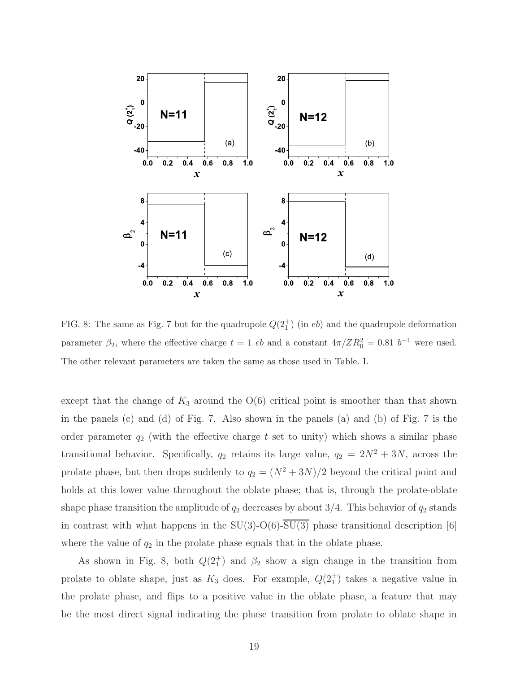

FIG. 8: The same as Fig. 7 but for the quadrupole  $Q(2_1^+)$  (in eb) and the quadrupole deformation parameter  $\beta_2$ , where the effective charge  $t = 1$  eb and a constant  $4\pi/ZR_0^2 = 0.81$  b<sup>-1</sup> were used. The other relevant parameters are taken the same as those used in Table. I.

except that the change of  $K_3$  around the  $O(6)$  critical point is smoother than that shown in the panels (c) and (d) of Fig. 7. Also shown in the panels (a) and (b) of Fig. 7 is the order parameter  $q_2$  (with the effective charge t set to unity) which shows a similar phase transitional behavior. Specifically,  $q_2$  retains its large value,  $q_2 = 2N^2 + 3N$ , across the prolate phase, but then drops suddenly to  $q_2 = (N^2 + 3N)/2$  beyond the critical point and holds at this lower value throughout the oblate phase; that is, through the prolate-oblate shape phase transition the amplitude of  $q_2$  decreases by about 3/4. This behavior of  $q_2$  stands in contrast with what happens in the  $SU(3)$ -O(6)- $\overline{SU(3)}$  phase transitional description [6] where the value of  $q_2$  in the prolate phase equals that in the oblate phase.

As shown in Fig. 8, both  $Q(2_1^+)$  and  $\beta_2$  show a sign change in the transition from prolate to oblate shape, just as  $K_3$  does. For example,  $Q(2_1^+)$  takes a negative value in the prolate phase, and flips to a positive value in the oblate phase, a feature that may be the most direct signal indicating the phase transition from prolate to oblate shape in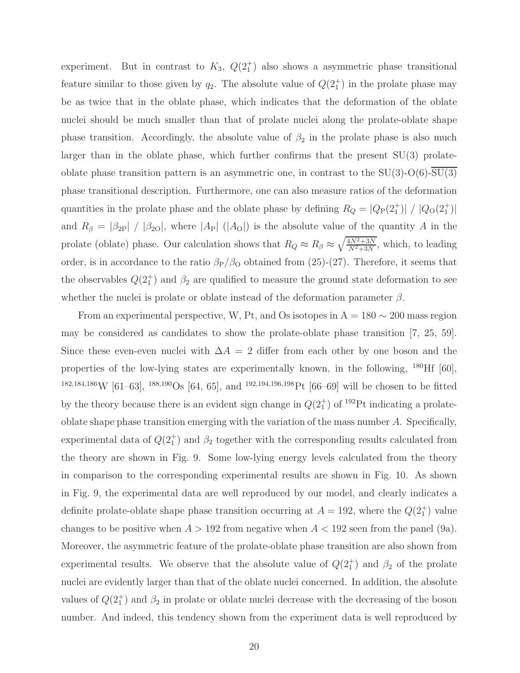experiment. But in contrast to  $K_3$ ,  $Q(2_1^+)$  also shows a asymmetric phase transitional feature similar to those given by  $q_2$ . The absolute value of  $Q(2_1^+)$  in the prolate phase may be as twice that in the oblate phase, which indicates that the deformation of the oblate nuclei should be much smaller than that of prolate nuclei along the prolate-oblate shape phase transition. Accordingly, the absolute value of  $\beta_2$  in the prolate phase is also much larger than in the oblate phase, which further confirms that the present  $SU(3)$  prolateoblate phase transition pattern is an asymmetric one, in contrast to the  $SU(3)$ - $O(6)$ - $\overline{SU(3)}$ phase transitional description. Furthermore, one can also measure ratios of the deformation quantities in the prolate phase and the oblate phase by defining  $R_Q = |Q_P(2_1^+)| / |Q_O(2_1^+)|$ and  $R_{\beta} = |\beta_{2P}| / |\beta_{2O}|$ , where  $|A_P| (|A_O|)$  is the absolute value of the quantity A in the prolate (oblate) phase. Our calculation shows that  $R_Q \approx R_\beta \approx \sqrt{\frac{4N^2+3N}{N^2+3N}}$  $\frac{4N^2+3N}{N^2+3N}$ , which, to leading order, is in accordance to the ratio  $\beta_P/\beta_O$  obtained from (25)-(27). Therefore, it seems that the observables  $Q(2_1^+)$  and  $\beta_2$  are qualified to measure the ground state deformation to see whether the nuclei is prolate or oblate instead of the deformation parameter  $\beta$ .

From an experimental perspective, W, Pt, and Os isotopes in  $A = 180 \sim 200$  mass region may be considered as candidates to show the prolate-oblate phase transition [7, 25, 59]. Since these even-even nuclei with  $\Delta A = 2$  differ from each other by one boson and the properties of the low-lying states are experimentally known, in the following, <sup>180</sup>Hf [60], <sup>182,184,186</sup>W [61–63], <sup>188,190</sup>Os [64, 65], and <sup>192,194,196,198</sup>Pt [66–69] will be chosen to be fitted by the theory because there is an evident sign change in  $Q(2_1^+)$  of <sup>192</sup>Pt indicating a prolateoblate shape phase transition emerging with the variation of the mass number A. Specifically, experimental data of  $Q(2_1^+)$  and  $\beta_2$  together with the corresponding results calculated from the theory are shown in Fig. 9. Some low-lying energy levels calculated from the theory in comparison to the corresponding experimental results are shown in Fig. 10. As shown in Fig. 9, the experimental data are well reproduced by our model, and clearly indicates a definite prolate-oblate shape phase transition occurring at  $A = 192$ , where the  $Q(2<sup>+</sup>)$  value changes to be positive when  $A > 192$  from negative when  $A < 192$  seen from the panel (9a). Moreover, the asymmetric feature of the prolate-oblate phase transition are also shown from experimental results. We observe that the absolute value of  $Q(2_1^+)$  and  $\beta_2$  of the prolate nuclei are evidently larger than that of the oblate nuclei concerned. In addition, the absolute values of  $Q(2_1^+)$  and  $\beta_2$  in prolate or oblate nuclei decrease with the decreasing of the boson number. And indeed, this tendency shown from the experiment data is well reproduced by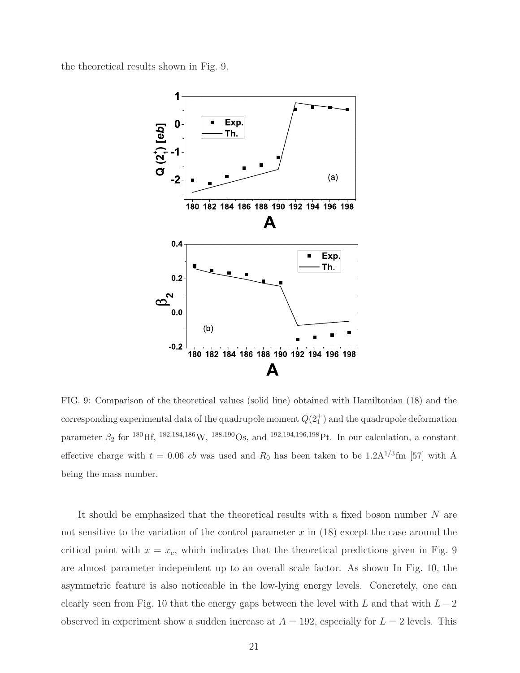the theoretical results shown in Fig. 9.



FIG. 9: Comparison of the theoretical values (solid line) obtained with Hamiltonian (18) and the corresponding experimental data of the quadrupole moment  $Q(2^+_1)$  and the quadrupole deformation parameter  $\beta_2$  for <sup>180</sup>Hf, <sup>182,184,186</sup>W, <sup>188,190</sup>Os, and <sup>192,194,196,198</sup>Pt. In our calculation, a constant effective charge with  $t = 0.06$  eb was used and  $R_0$  has been taken to be  $1.2 \text{A}^{1/3} \text{fm}$  [57] with A being the mass number.

It should be emphasized that the theoretical results with a fixed boson number  $N$  are not sensitive to the variation of the control parameter  $x$  in (18) except the case around the critical point with  $x = x_c$ , which indicates that the theoretical predictions given in Fig. 9 are almost parameter independent up to an overall scale factor. As shown In Fig. 10, the asymmetric feature is also noticeable in the low-lying energy levels. Concretely, one can clearly seen from Fig. 10 that the energy gaps between the level with L and that with  $L-2$ observed in experiment show a sudden increase at  $A = 192$ , especially for  $L = 2$  levels. This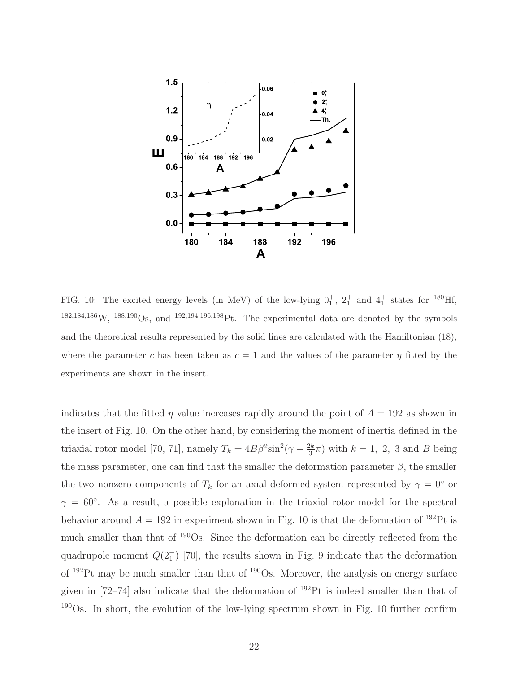

FIG. 10: The excited energy levels (in MeV) of the low-lying  $0^+_1$ ,  $2^+_1$  and  $4^+_1$  states for <sup>180</sup>Hf,  $182,184,186\,\text{W}, 188,190\,\text{Os}, \text{ and } 192,194,196,198\,\text{Pt}.$  The experimental data are denoted by the symbols and the theoretical results represented by the solid lines are calculated with the Hamiltonian (18), where the parameter c has been taken as  $c = 1$  and the values of the parameter  $\eta$  fitted by the experiments are shown in the insert.

indicates that the fitted  $\eta$  value increases rapidly around the point of  $A = 192$  as shown in the insert of Fig. 10. On the other hand, by considering the moment of inertia defined in the triaxial rotor model [70, 71], namely  $T_k = 4B\beta^2 \sin^2(\gamma - \frac{2k}{3})$  $\frac{2k}{3}\pi$ ) with  $k=1, 2, 3$  and B being the mass parameter, one can find that the smaller the deformation parameter  $\beta$ , the smaller the two nonzero components of  $T_k$  for an axial deformed system represented by  $\gamma = 0^{\circ}$  or  $\gamma = 60^{\circ}$ . As a result, a possible explanation in the triaxial rotor model for the spectral behavior around  $A = 192$  in experiment shown in Fig. 10 is that the deformation of <sup>192</sup>Pt is much smaller than that of <sup>190</sup>Os. Since the deformation can be directly reflected from the quadrupole moment  $Q(2^+_1)$  [70], the results shown in Fig. 9 indicate that the deformation of <sup>192</sup>Pt may be much smaller than that of <sup>190</sup>Os. Moreover, the analysis on energy surface given in  $[72–74]$  also indicate that the deformation of  $^{192}Pt$  is indeed smaller than that of <sup>190</sup>Os. In short, the evolution of the low-lying spectrum shown in Fig. 10 further confirm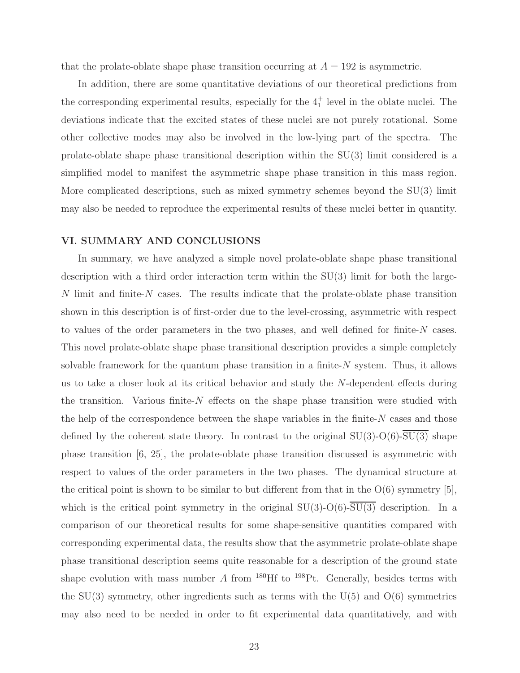that the prolate-oblate shape phase transition occurring at  $A = 192$  is asymmetric.

In addition, there are some quantitative deviations of our theoretical predictions from the corresponding experimental results, especially for the  $4<sub>1</sub><sup>+</sup>$  level in the oblate nuclei. The deviations indicate that the excited states of these nuclei are not purely rotational. Some other collective modes may also be involved in the low-lying part of the spectra. The prolate-oblate shape phase transitional description within the SU(3) limit considered is a simplified model to manifest the asymmetric shape phase transition in this mass region. More complicated descriptions, such as mixed symmetry schemes beyond the  $SU(3)$  limit may also be needed to reproduce the experimental results of these nuclei better in quantity.

#### VI. SUMMARY AND CONCLUSIONS

In summary, we have analyzed a simple novel prolate-oblate shape phase transitional description with a third order interaction term within the SU(3) limit for both the large-N limit and finite-N cases. The results indicate that the prolate-oblate phase transition shown in this description is of first-order due to the level-crossing, asymmetric with respect to values of the order parameters in the two phases, and well defined for finite-N cases. This novel prolate-oblate shape phase transitional description provides a simple completely solvable framework for the quantum phase transition in a finite- $N$  system. Thus, it allows us to take a closer look at its critical behavior and study the N-dependent effects during the transition. Various finite- $N$  effects on the shape phase transition were studied with the help of the correspondence between the shape variables in the finite- $N$  cases and those defined by the coherent state theory. In contrast to the original  $SU(3)$ -O(6)- $\overline{SU(3)}$  shape phase transition [6, 25], the prolate-oblate phase transition discussed is asymmetric with respect to values of the order parameters in the two phases. The dynamical structure at the critical point is shown to be similar to but different from that in the  $O(6)$  symmetry [5], which is the critical point symmetry in the original  $SU(3)-O(6)$ - $\overline{SU(3)}$  description. In a comparison of our theoretical results for some shape-sensitive quantities compared with corresponding experimental data, the results show that the asymmetric prolate-oblate shape phase transitional description seems quite reasonable for a description of the ground state shape evolution with mass number  $A$  from <sup>180</sup>Hf to <sup>198</sup>Pt. Generally, besides terms with the  $SU(3)$  symmetry, other ingredients such as terms with the  $U(5)$  and  $O(6)$  symmetries may also need to be needed in order to fit experimental data quantitatively, and with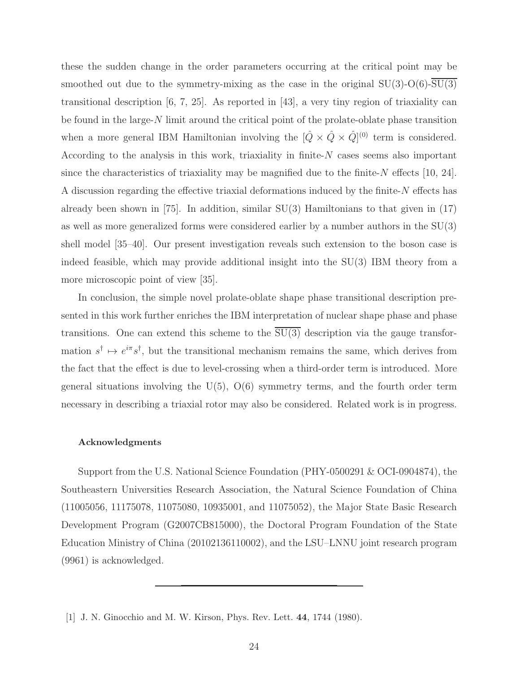these the sudden change in the order parameters occurring at the critical point may be smoothed out due to the symmetry-mixing as the case in the original  $SU(3)$ - $O(6)$ - $SU(3)$ transitional description [6, 7, 25]. As reported in [43], a very tiny region of triaxiality can be found in the large-N limit around the critical point of the prolate-oblate phase transition when a more general IBM Hamiltonian involving the  $[\hat{Q} \times \hat{Q} \times \hat{Q}]^{(0)}$  term is considered. According to the analysis in this work, triaxiality in finite- $N$  cases seems also important since the characteristics of triaxiality may be magnified due to the finite- $N$  effects [10, 24]. A discussion regarding the effective triaxial deformations induced by the finite-N effects has already been shown in [75]. In addition, similar  $SU(3)$  Hamiltonians to that given in (17) as well as more generalized forms were considered earlier by a number authors in the SU(3) shell model [35–40]. Our present investigation reveals such extension to the boson case is indeed feasible, which may provide additional insight into the SU(3) IBM theory from a more microscopic point of view [35].

In conclusion, the simple novel prolate-oblate shape phase transitional description presented in this work further enriches the IBM interpretation of nuclear shape phase and phase transitions. One can extend this scheme to the  $\overline{SU(3)}$  description via the gauge transformation  $s^{\dagger} \mapsto e^{i\pi} s^{\dagger}$ , but the transitional mechanism remains the same, which derives from the fact that the effect is due to level-crossing when a third-order term is introduced. More general situations involving the  $U(5)$ ,  $O(6)$  symmetry terms, and the fourth order term necessary in describing a triaxial rotor may also be considered. Related work is in progress.

#### Acknowledgments

Support from the U.S. National Science Foundation (PHY-0500291 & OCI-0904874), the Southeastern Universities Research Association, the Natural Science Foundation of China (11005056, 11175078, 11075080, 10935001, and 11075052), the Major State Basic Research Development Program (G2007CB815000), the Doctoral Program Foundation of the State Education Ministry of China (20102136110002), and the LSU–LNNU joint research program (9961) is acknowledged.

<sup>[1]</sup> J. N. Ginocchio and M. W. Kirson, Phys. Rev. Lett. 44, 1744 (1980).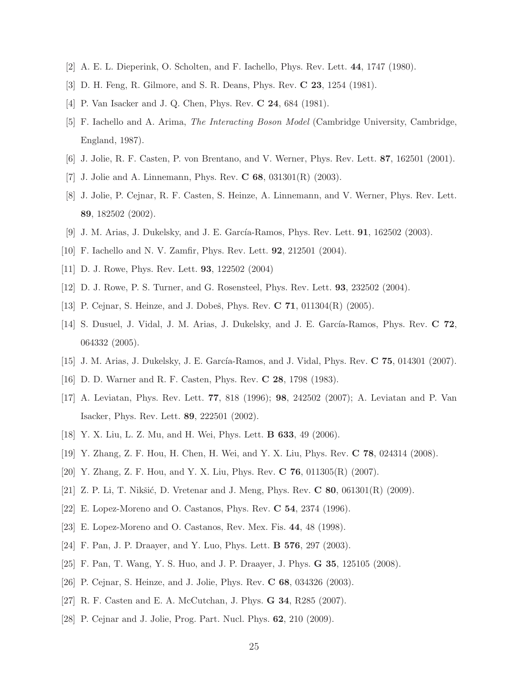- [2] A. E. L. Dieperink, O. Scholten, and F. Iachello, Phys. Rev. Lett. 44, 1747 (1980).
- [3] D. H. Feng, R. Gilmore, and S. R. Deans, Phys. Rev. C 23, 1254 (1981).
- [4] P. Van Isacker and J. Q. Chen, Phys. Rev. **C 24**, 684 (1981).
- [5] F. Iachello and A. Arima, The Interacting Boson Model (Cambridge University, Cambridge, England, 1987).
- [6] J. Jolie, R. F. Casten, P. von Brentano, and V. Werner, Phys. Rev. Lett. 87, 162501 (2001).
- [7] J. Jolie and A. Linnemann, Phys. Rev. **C 68**,  $031301(R)$  (2003).
- [8] J. Jolie, P. Cejnar, R. F. Casten, S. Heinze, A. Linnemann, and V. Werner, Phys. Rev. Lett. 89, 182502 (2002).
- [9] J. M. Arias, J. Dukelsky, and J. E. García-Ramos, Phys. Rev. Lett. **91**, 162502 (2003).
- [10] F. Iachello and N. V. Zamfir, Phys. Rev. Lett. 92, 212501 (2004).
- [11] D. J. Rowe, Phys. Rev. Lett. 93, 122502 (2004)
- [12] D. J. Rowe, P. S. Turner, and G. Rosensteel, Phys. Rev. Lett. 93, 232502 (2004).
- [13] P. Cejnar, S. Heinze, and J. Dobeš, Phys. Rev. C  $71$ ,  $011304(R)$  (2005).
- [14] S. Dusuel, J. Vidal, J. M. Arias, J. Dukelsky, and J. E. García-Ramos, Phys. Rev. C 72, 064332 (2005).
- [15] J. M. Arias, J. Dukelsky, J. E. García-Ramos, and J. Vidal, Phys. Rev. C 75, 014301 (2007).
- [16] D. D. Warner and R. F. Casten, Phys. Rev. C 28, 1798 (1983).
- [17] A. Leviatan, Phys. Rev. Lett. 77, 818 (1996); 98, 242502 (2007); A. Leviatan and P. Van Isacker, Phys. Rev. Lett. 89, 222501 (2002).
- [18] Y. X. Liu, L. Z. Mu, and H. Wei, Phys. Lett. B 633, 49 (2006).
- [19] Y. Zhang, Z. F. Hou, H. Chen, H. Wei, and Y. X. Liu, Phys. Rev. C 78, 024314 (2008).
- [20] Y. Zhang, Z. F. Hou, and Y. X. Liu, Phys. Rev. C 76, 011305(R) (2007).
- [21] Z. P. Li, T. Nikšić, D. Vretenar and J. Meng, Phys. Rev.  $C$  80, 061301 $(R)$  (2009).
- [22] E. Lopez-Moreno and O. Castanos, Phys. Rev. C 54, 2374 (1996).
- [23] E. Lopez-Moreno and O. Castanos, Rev. Mex. Fis. 44, 48 (1998).
- [24] F. Pan, J. P. Draayer, and Y. Luo, Phys. Lett. B 576, 297 (2003).
- [25] F. Pan, T. Wang, Y. S. Huo, and J. P. Draayer, J. Phys. G 35, 125105 (2008).
- [26] P. Cejnar, S. Heinze, and J. Jolie, Phys. Rev. C 68, 034326 (2003).
- [27] R. F. Casten and E. A. McCutchan, J. Phys. G 34, R285 (2007).
- [28] P. Cejnar and J. Jolie, Prog. Part. Nucl. Phys. 62, 210 (2009).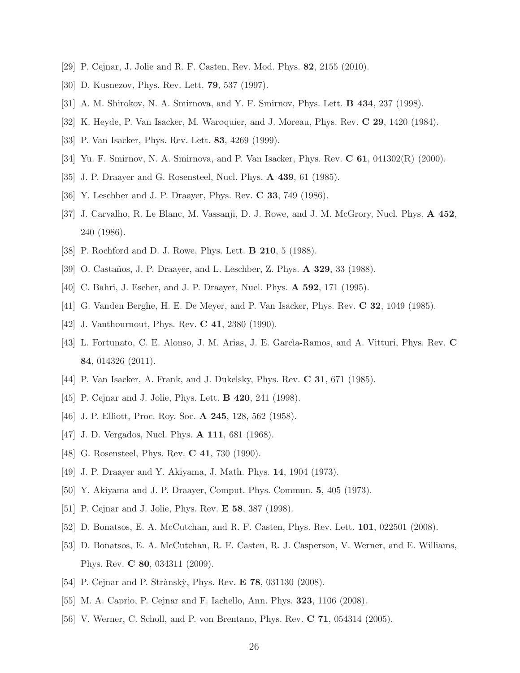- [29] P. Cejnar, J. Jolie and R. F. Casten, Rev. Mod. Phys. 82, 2155 (2010).
- [30] D. Kusnezov, Phys. Rev. Lett. 79, 537 (1997).
- [31] A. M. Shirokov, N. A. Smirnova, and Y. F. Smirnov, Phys. Lett. B 434, 237 (1998).
- [32] K. Heyde, P. Van Isacker, M. Waroquier, and J. Moreau, Phys. Rev. C 29, 1420 (1984).
- [33] P. Van Isacker, Phys. Rev. Lett. 83, 4269 (1999).
- [34] Yu. F. Smirnov, N. A. Smirnova, and P. Van Isacker, Phys. Rev. C 61, 041302(R) (2000).
- [35] J. P. Draayer and G. Rosensteel, Nucl. Phys. A 439, 61 (1985).
- [36] Y. Leschber and J. P. Draayer, Phys. Rev. C 33, 749 (1986).
- [37] J. Carvalho, R. Le Blanc, M. Vassanji, D. J. Rowe, and J. M. McGrory, Nucl. Phys. A 452, 240 (1986).
- [38] P. Rochford and D. J. Rowe, Phys. Lett. **B 210**, 5 (1988).
- [39] O. Castaños, J. P. Draayer, and L. Leschber, Z. Phys. **A 329**, 33 (1988).
- [40] C. Bahri, J. Escher, and J. P. Draayer, Nucl. Phys. A 592, 171 (1995).
- [41] G. Vanden Berghe, H. E. De Meyer, and P. Van Isacker, Phys. Rev. C 32, 1049 (1985).
- [42] J. Vanthournout, Phys. Rev. C 41, 2380 (1990).
- [43] L. Fortunato, C. E. Alonso, J. M. Arias, J. E. García-Ramos, and A. Vitturi, Phys. Rev. C 84, 014326 (2011).
- [44] P. Van Isacker, A. Frank, and J. Dukelsky, Phys. Rev. C 31, 671 (1985).
- [45] P. Cejnar and J. Jolie, Phys. Lett. **B 420**, 241 (1998).
- [46] J. P. Elliott, Proc. Roy. Soc. **A 245**, 128, 562 (1958).
- [47] J. D. Vergados, Nucl. Phys. **A 111**, 681 (1968).
- [48] G. Rosensteel, Phys. Rev. **C 41**, 730 (1990).
- [49] J. P. Draayer and Y. Akiyama, J. Math. Phys. 14, 1904 (1973).
- [50] Y. Akiyama and J. P. Draayer, Comput. Phys. Commun. 5, 405 (1973).
- [51] P. Cejnar and J. Jolie, Phys. Rev. E 58, 387 (1998).
- [52] D. Bonatsos, E. A. McCutchan, and R. F. Casten, Phys. Rev. Lett. 101, 022501 (2008).
- [53] D. Bonatsos, E. A. McCutchan, R. F. Casten, R. J. Casperson, V. Werner, and E. Williams, Phys. Rev. C 80, 034311 (2009).
- [54] P. Cejnar and P. Strànskỳ, Phys. Rev. **E 78**, 031130 (2008).
- [55] M. A. Caprio, P. Cejnar and F. Iachello, Ann. Phys. 323, 1106 (2008).
- [56] V. Werner, C. Scholl, and P. von Brentano, Phys. Rev. C 71, 054314 (2005).